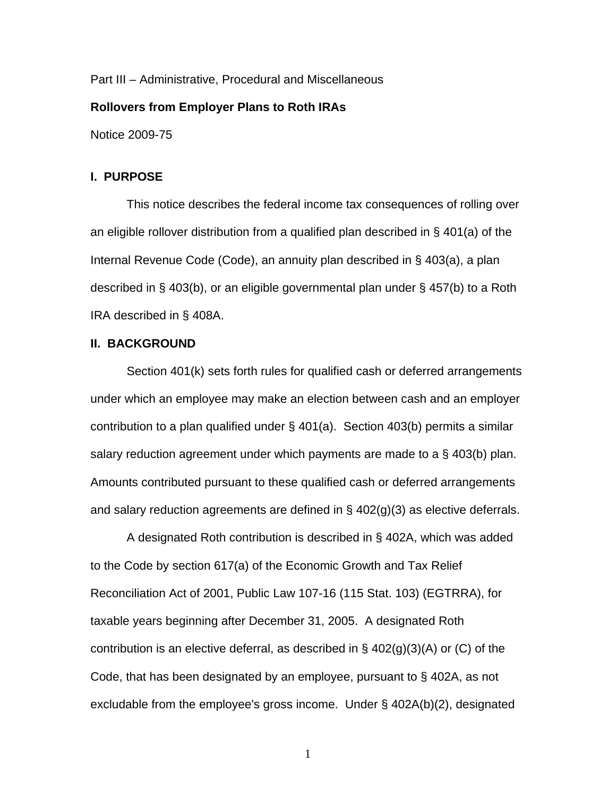Part III – Administrative, Procedural and Miscellaneous

# **Rollovers from Employer Plans to Roth IRAs**

Notice 2009-75

### **I. PURPOSE**

This notice describes the federal income tax consequences of rolling over an eligible rollover distribution from a qualified plan described in § 401(a) of the Internal Revenue Code (Code), an annuity plan described in § 403(a), a plan described in § 403(b), or an eligible governmental plan under § 457(b) to a Roth IRA described in § 408A.

# **II. BACKGROUND**

 Section 401(k) sets forth rules for qualified cash or deferred arrangements under which an employee may make an election between cash and an employer contribution to a plan qualified under § 401(a). Section 403(b) permits a similar salary reduction agreement under which payments are made to a § 403(b) plan. Amounts contributed pursuant to these qualified cash or deferred arrangements and salary reduction agreements are defined in § 402(g)(3) as elective deferrals.

 A designated Roth contribution is described in § 402A, which was added to the Code by section 617(a) of the Economic Growth and Tax Relief Reconciliation Act of 2001, Public Law 107-16 (115 Stat. 103) (EGTRRA), for taxable years beginning after December 31, 2005. A designated Roth contribution is an elective deferral, as described in  $\S$  402(g)(3)(A) or (C) of the Code, that has been designated by an employee, pursuant to § 402A, as not excludable from the employee's gross income. Under § 402A(b)(2), designated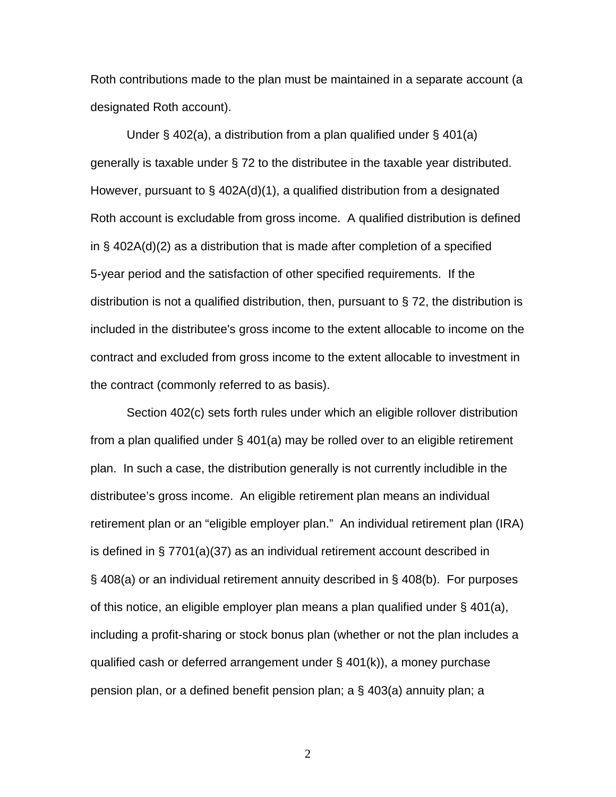Roth contributions made to the plan must be maintained in a separate account (a designated Roth account).

 Under § 402(a), a distribution from a plan qualified under § 401(a) generally is taxable under § 72 to the distributee in the taxable year distributed. However, pursuant to § 402A(d)(1), a qualified distribution from a designated Roth account is excludable from gross income. A qualified distribution is defined in § 402A(d)(2) as a distribution that is made after completion of a specified 5-year period and the satisfaction of other specified requirements. If the distribution is not a qualified distribution, then, pursuant to  $\S$  72, the distribution is included in the distributee's gross income to the extent allocable to income on the contract and excluded from gross income to the extent allocable to investment in the contract (commonly referred to as basis).

Section 402(c) sets forth rules under which an eligible rollover distribution from a plan qualified under § 401(a) may be rolled over to an eligible retirement plan. In such a case, the distribution generally is not currently includible in the distributee's gross income. An eligible retirement plan means an individual retirement plan or an "eligible employer plan." An individual retirement plan (IRA) is defined in § 7701(a)(37) as an individual retirement account described in § 408(a) or an individual retirement annuity described in § 408(b). For purposes of this notice, an eligible employer plan means a plan qualified under § 401(a), including a profit-sharing or stock bonus plan (whether or not the plan includes a qualified cash or deferred arrangement under § 401(k)), a money purchase pension plan, or a defined benefit pension plan; a § 403(a) annuity plan; a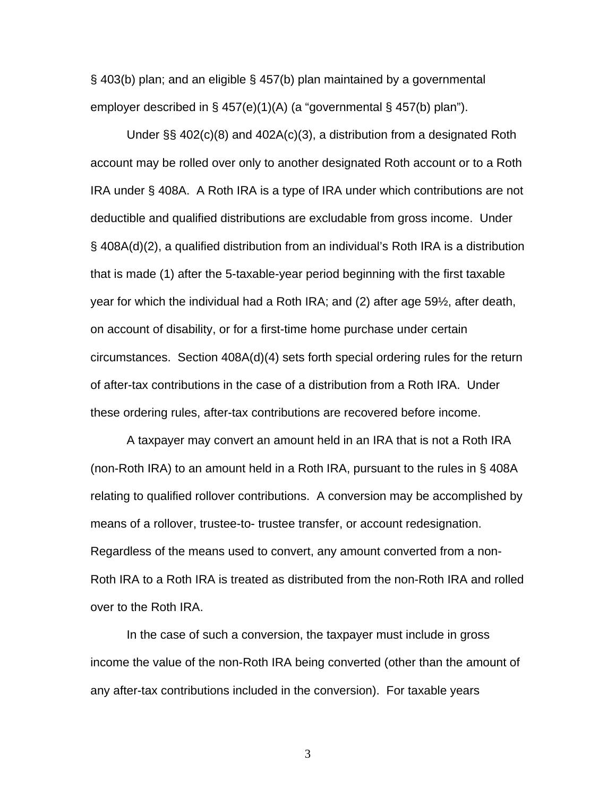§ 403(b) plan; and an eligible § 457(b) plan maintained by a governmental employer described in § 457(e)(1)(A) (a "governmental § 457(b) plan").

 Under §§ 402(c)(8) and 402A(c)(3), a distribution from a designated Roth account may be rolled over only to another designated Roth account or to a Roth IRA under § 408A. A Roth IRA is a type of IRA under which contributions are not deductible and qualified distributions are excludable from gross income. Under § 408A(d)(2), a qualified distribution from an individual's Roth IRA is a distribution that is made (1) after the 5-taxable-year period beginning with the first taxable year for which the individual had a Roth IRA; and (2) after age 59½, after death, on account of disability, or for a first-time home purchase under certain circumstances. Section 408A(d)(4) sets forth special ordering rules for the return of after-tax contributions in the case of a distribution from a Roth IRA. Under these ordering rules, after-tax contributions are recovered before income.

A taxpayer may convert an amount held in an IRA that is not a Roth IRA (non-Roth IRA) to an amount held in a Roth IRA, pursuant to the rules in § 408A relating to qualified rollover contributions. A conversion may be accomplished by means of a rollover, trustee-to- trustee transfer, or account redesignation. Regardless of the means used to convert, any amount converted from a non-Roth IRA to a Roth IRA is treated as distributed from the non-Roth IRA and rolled over to the Roth IRA.

In the case of such a conversion, the taxpayer must include in gross income the value of the non-Roth IRA being converted (other than the amount of any after-tax contributions included in the conversion). For taxable years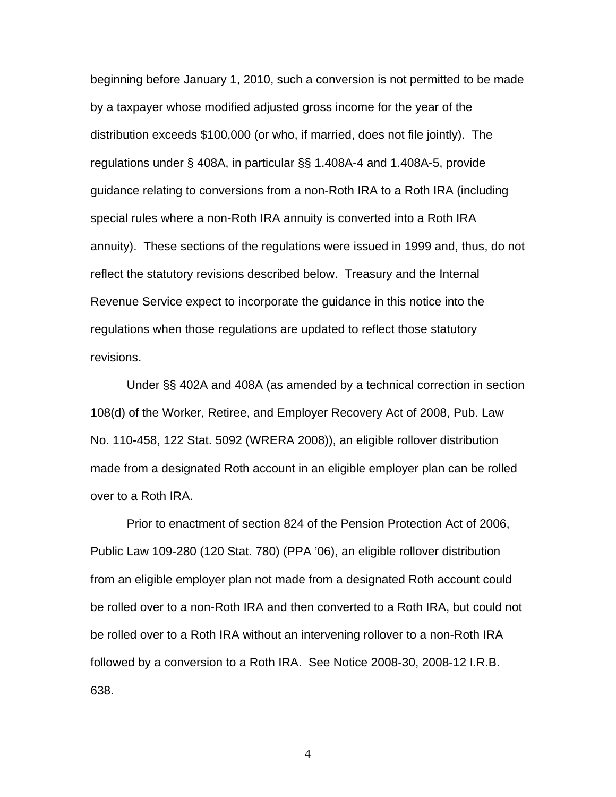beginning before January 1, 2010, such a conversion is not permitted to be made by a taxpayer whose modified adjusted gross income for the year of the distribution exceeds \$100,000 (or who, if married, does not file jointly). The regulations under § 408A, in particular §§ 1.408A-4 and 1.408A-5, provide guidance relating to conversions from a non-Roth IRA to a Roth IRA (including special rules where a non-Roth IRA annuity is converted into a Roth IRA annuity). These sections of the regulations were issued in 1999 and, thus, do not reflect the statutory revisions described below. Treasury and the Internal Revenue Service expect to incorporate the guidance in this notice into the regulations when those regulations are updated to reflect those statutory revisions.

Under §§ 402A and 408A (as amended by a technical correction in section 108(d) of the Worker, Retiree, and Employer Recovery Act of 2008, Pub. Law No. 110-458, 122 Stat. 5092 (WRERA 2008)), an eligible rollover distribution made from a designated Roth account in an eligible employer plan can be rolled over to a Roth IRA.

Prior to enactment of section 824 of the Pension Protection Act of 2006, Public Law 109-280 (120 Stat. 780) (PPA '06), an eligible rollover distribution from an eligible employer plan not made from a designated Roth account could be rolled over to a non-Roth IRA and then converted to a Roth IRA, but could not be rolled over to a Roth IRA without an intervening rollover to a non-Roth IRA followed by a conversion to a Roth IRA. See Notice 2008-30, 2008-12 I.R.B. 638.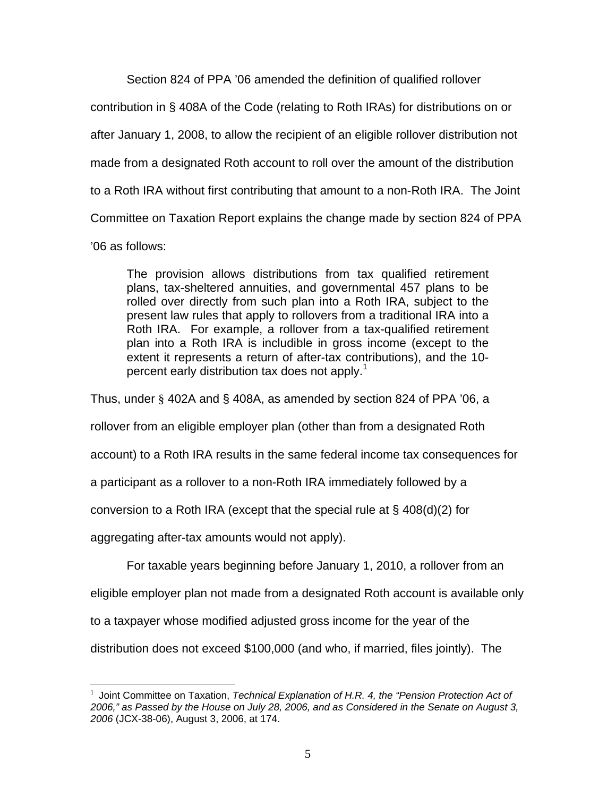Section 824 of PPA '06 amended the definition of qualified rollover

contribution in § 408A of the Code (relating to Roth IRAs) for distributions on or

after January 1, 2008, to allow the recipient of an eligible rollover distribution not

made from a designated Roth account to roll over the amount of the distribution

to a Roth IRA without first contributing that amount to a non-Roth IRA. The Joint

Committee on Taxation Report explains the change made by section 824 of PPA

'06 as follows:

The provision allows distributions from tax qualified retirement plans, tax-sheltered annuities, and governmental 457 plans to be rolled over directly from such plan into a Roth IRA, subject to the present law rules that apply to rollovers from a traditional IRA into a Roth IRA. For example, a rollover from a tax-qualified retirement plan into a Roth IRA is includible in gross income (except to the extent it represents a return of after-tax contributions), and the 10 percent early distribution tax does not apply.<sup>1</sup>

Thus, under § 402A and § 408A, as amended by section 824 of PPA '06, a

rollover from an eligible employer plan (other than from a designated Roth

account) to a Roth IRA results in the same federal income tax consequences for

a participant as a rollover to a non-Roth IRA immediately followed by a

conversion to a Roth IRA (except that the special rule at  $\S$  408(d)(2) for

aggregating after-tax amounts would not apply).

For taxable years beginning before January 1, 2010, a rollover from an

eligible employer plan not made from a designated Roth account is available only

to a taxpayer whose modified adjusted gross income for the year of the

distribution does not exceed \$100,000 (and who, if married, files jointly). The

 $\overline{a}$ 1 Joint Committee on Taxation, *Technical Explanation of H.R. 4, the "Pension Protection Act of 2006," as Passed by the House on July 28, 2006, and as Considered in the Senate on August 3, 2006* (JCX-38-06), August 3, 2006, at 174.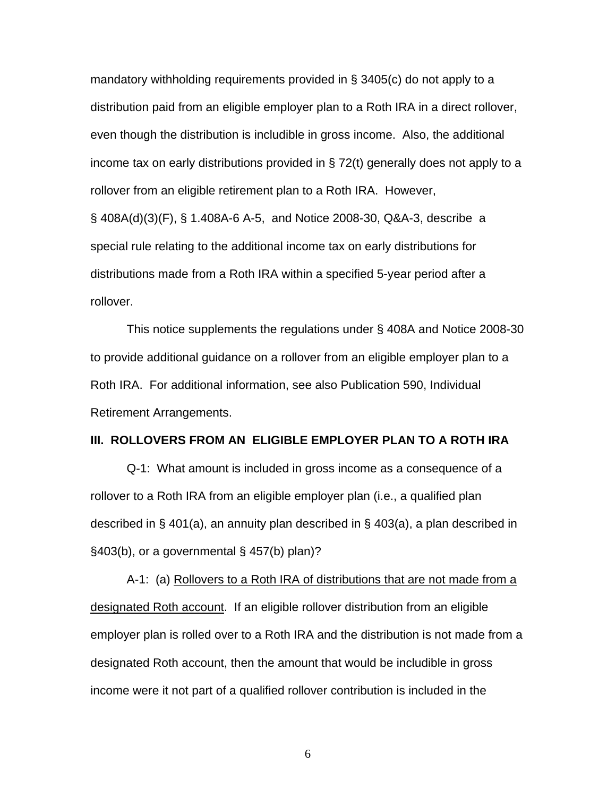mandatory withholding requirements provided in § 3405(c) do not apply to a distribution paid from an eligible employer plan to a Roth IRA in a direct rollover, even though the distribution is includible in gross income. Also, the additional income tax on early distributions provided in § 72(t) generally does not apply to a rollover from an eligible retirement plan to a Roth IRA. However,

§ 408A(d)(3)(F), § 1.408A-6 A-5, and Notice 2008-30, Q&A-3, describe a special rule relating to the additional income tax on early distributions for distributions made from a Roth IRA within a specified 5-year period after a rollover.

 This notice supplements the regulations under § 408A and Notice 2008-30 to provide additional guidance on a rollover from an eligible employer plan to a Roth IRA. For additional information, see also Publication 590, Individual Retirement Arrangements.

### **III. ROLLOVERS FROM AN ELIGIBLE EMPLOYER PLAN TO A ROTH IRA**

Q-1: What amount is included in gross income as a consequence of a rollover to a Roth IRA from an eligible employer plan (i.e., a qualified plan described in § 401(a), an annuity plan described in § 403(a), a plan described in §403(b), or a governmental § 457(b) plan)?

A-1: (a) Rollovers to a Roth IRA of distributions that are not made from a designated Roth account. If an eligible rollover distribution from an eligible employer plan is rolled over to a Roth IRA and the distribution is not made from a designated Roth account, then the amount that would be includible in gross income were it not part of a qualified rollover contribution is included in the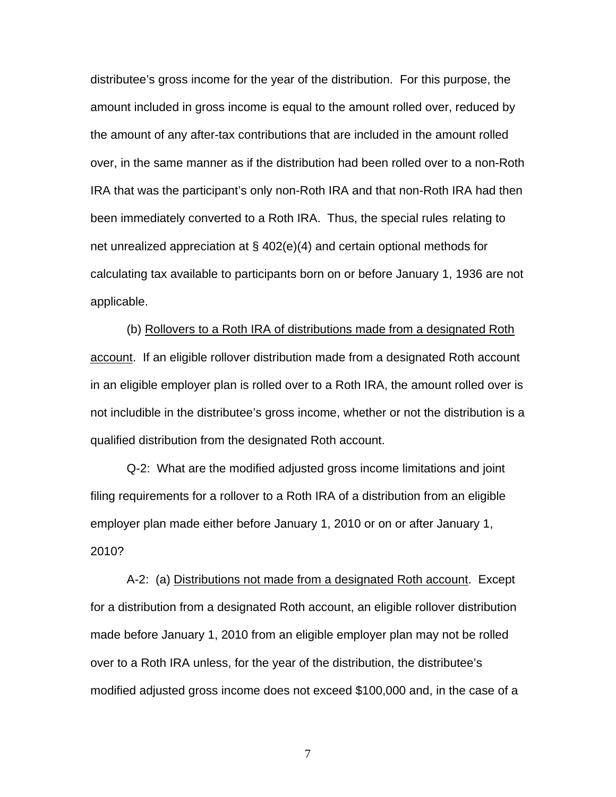distributee's gross income for the year of the distribution. For this purpose, the amount included in gross income is equal to the amount rolled over, reduced by the amount of any after-tax contributions that are included in the amount rolled over, in the same manner as if the distribution had been rolled over to a non-Roth IRA that was the participant's only non-Roth IRA and that non-Roth IRA had then been immediately converted to a Roth IRA. Thus, the special rules relating to net unrealized appreciation at § 402(e)(4) and certain optional methods for calculating tax available to participants born on or before January 1, 1936 are not applicable.

(b) Rollovers to a Roth IRA of distributions made from a designated Roth account. If an eligible rollover distribution made from a designated Roth account in an eligible employer plan is rolled over to a Roth IRA, the amount rolled over is not includible in the distributee's gross income, whether or not the distribution is a qualified distribution from the designated Roth account.

Q-2: What are the modified adjusted gross income limitations and joint filing requirements for a rollover to a Roth IRA of a distribution from an eligible employer plan made either before January 1, 2010 or on or after January 1, 2010?

A-2: (a) Distributions not made from a designated Roth account. Except for a distribution from a designated Roth account, an eligible rollover distribution made before January 1, 2010 from an eligible employer plan may not be rolled over to a Roth IRA unless, for the year of the distribution, the distributee's modified adjusted gross income does not exceed \$100,000 and, in the case of a